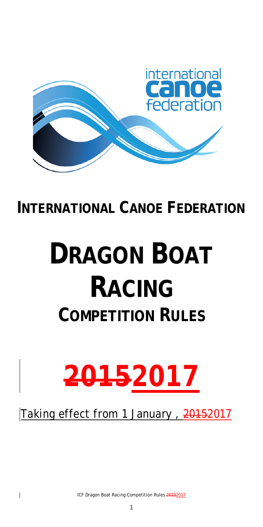

# **INTERNATIONAL CANOE FEDERATION**

# **DRAGON BOAT RACING COMPETITION RULES**



Taking effect from 1 January, 20152017

ICF Dragon Boat Racing Competition Rules 20152017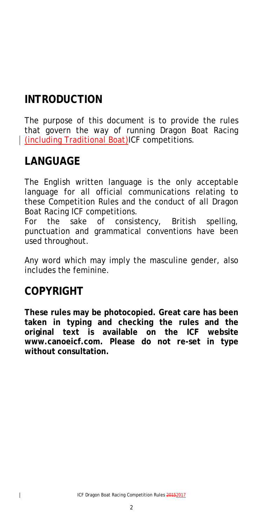# **INTRODUCTION**

The purpose of this document is to provide the rules that govern the way of running Dragon Boat Racing (including Traditional Boat)ICF competitions.

# **LANGUAGE**

The English written language is the only acceptable language for all official communications relating to these Competition Rules and the conduct of all Dragon Boat Racing ICF competitions.

For the sake of consistency, British spelling, punctuation and grammatical conventions have been used throughout.

Any word which may imply the masculine gender, also includes the feminine.

## **COPYRIGHT**

**These rules may be photocopied. Great care has been taken in typing and checking the rules and the original text is available on the ICF website www.canoeicf.com. Please do not re-set in type without consultation.**

2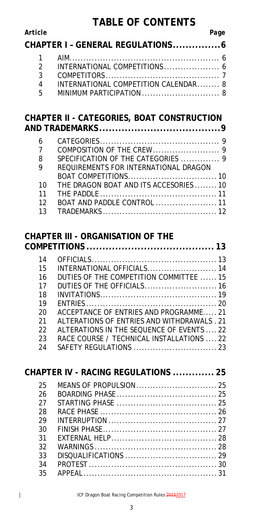### **TABLE OF CONTENTS**

| Article | Page |
|---------|------|
|---------|------|

|       | CHAPTER I - GENERAL REGULATIONS 6    |
|-------|--------------------------------------|
|       |                                      |
|       |                                      |
|       |                                      |
| 4     | INTERNATIONAL COMPETITION CALENDAR 8 |
| $5 -$ |                                      |
|       |                                      |

#### **CHAPTER II - [CATEGORIES, BOAT CONSTRUCTION](#page-8-0)  AND TRADEMARKS [......................................9](#page-8-0)**

| 6              |                                        |
|----------------|----------------------------------------|
| $\overline{7}$ |                                        |
| -8             | SPECIFICATION OF THE CATEGORIES  9     |
| $\mathsf{Q}$   | REQUIREMENTS FOR INTERNATIONAL DRAGON  |
|                |                                        |
| 10             | THE DRAGON BOAT AND ITS ACCESORIES  10 |
| 11             |                                        |
| 12             |                                        |
|                |                                        |

### **CHAPTER III - [ORGANISATION OF THE](#page-12-1)**

| 14 |                                             |
|----|---------------------------------------------|
| 15 | INTERNATIONAL OFFICIALS 14                  |
| 16 | DUTIES OF THE COMPETITION COMMITTEE  15     |
| 17 | DUTIES OF THE OFFICIALS 16                  |
| 18 |                                             |
| 19 |                                             |
| 20 | ACCEPTANCE OF ENTRIES AND PROGRAMME21       |
| 21 | ALTERATIONS OF ENTRIES AND WITHDRAWALS . 21 |
| 22 | ALTERATIONS IN THE SEQUENCE OF EVENTS  22   |
| 23 | RACE COURSE / TECHNICAL INSTALLATIONS  22   |
| 24 |                                             |
|    |                                             |

|    | CHAPTER IV - RACING REGULATIONS  25 |  |
|----|-------------------------------------|--|
| 25 |                                     |  |
| 26 |                                     |  |
| 27 |                                     |  |
| 28 |                                     |  |
| 29 |                                     |  |
| 30 |                                     |  |
| 31 |                                     |  |
| 32 |                                     |  |
| 33 |                                     |  |
| 34 |                                     |  |
| 35 |                                     |  |
|    |                                     |  |

ICF Dragon Boat Racing Competition Rules 20152017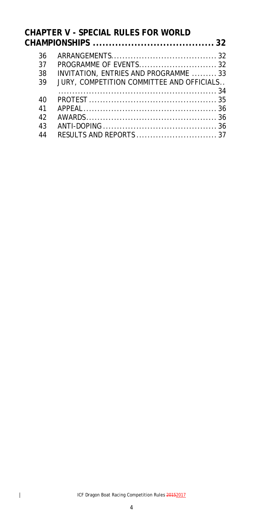### **CHAPTER V - [SPECIAL RULES FOR WORLD](#page-32-1)  CHAMPIONSHIPS [......................................](#page-32-1) 32**

| 36 |                                           |
|----|-------------------------------------------|
| 37 |                                           |
| 38 | INVITATION, ENTRIES AND PROGRAMME 33      |
| 39 | JURY, COMPETITION COMMITTEE AND OFFICIALS |
|    |                                           |
| 40 |                                           |
| 41 |                                           |
| 42 |                                           |
| 43 |                                           |
| 44 |                                           |
|    |                                           |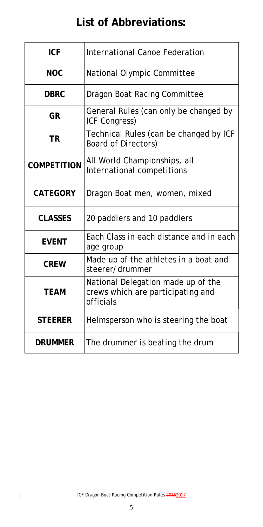# **List of Abbreviations:**

| <b>ICF</b>         | <b>International Canoe Federation</b>                                                |
|--------------------|--------------------------------------------------------------------------------------|
| <b>NOC</b>         | National Olympic Committee                                                           |
| <b>DBRC</b>        | Dragon Boat Racing Committee                                                         |
| <b>GR</b>          | General Rules (can only be changed by<br>ICF Congress)                               |
| <b>TR</b>          | Technical Rules (can be changed by ICF<br><b>Board of Directors)</b>                 |
| <b>COMPETITION</b> | All World Championships, all<br>International competitions                           |
| <b>CATEGORY</b>    | Dragon Boat men, women, mixed                                                        |
| <b>CLASSES</b>     | 20 paddlers and 10 paddlers                                                          |
| <b>EVENT</b>       | Each Class in each distance and in each<br>age group                                 |
| <b>CREW</b>        | Made up of the athletes in a boat and<br>steerer/drummer                             |
| <b>TEAM</b>        | National Delegation made up of the<br>crews which are participating and<br>officials |
| <b>STEERER</b>     | Helmsperson who is steering the boat                                                 |
| <b>DRUMMER</b>     | The drummer is beating the drum                                                      |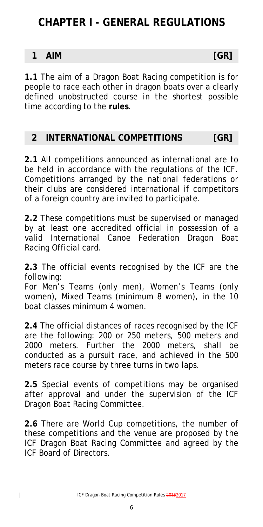# **CHAPTER I - GENERAL REGULATIONS**

#### <span id="page-5-0"></span>**1 AIM [GR]**

**1.1** The aim of a Dragon Boat Racing competition is for people to race each other in dragon boats over a clearly defined unobstructed course in the shortest possible time according to the **rules**.

#### <span id="page-5-1"></span>**2 INTERNATIONAL COMPETITIONS [GR]**

**2.1** All competitions announced as international are to be held in accordance with the regulations of the ICF. Competitions arranged by the national federations or their clubs are considered international if competitors of a foreign country are invited to participate.

**2.2** These competitions must be supervised or managed by at least one accredited official in possession of a valid International Canoe Federation Dragon Boat Racing Official card.

**2.3** The official events recognised by the ICF are the following:

For Men's Teams (only men), Women's Teams (only women), Mixed Teams (minimum 8 women), in the 10 boat classes minimum 4 women.

**2.4** The official distances of races recognised by the ICF are the following: 200 or 250 meters, 500 meters and 2000 meters. Further the 2000 meters, shall be conducted as a pursuit race, and achieved in the 500 meters race course by three turns in two laps.

**2.5** Special events of competitions may be organised after approval and under the supervision of the ICF Dragon Boat Racing Committee.

**2.6** There are World Cup competitions, the number of these competitions and the venue are proposed by the ICF Dragon Boat Racing Committee and agreed by the ICF Board of Directors.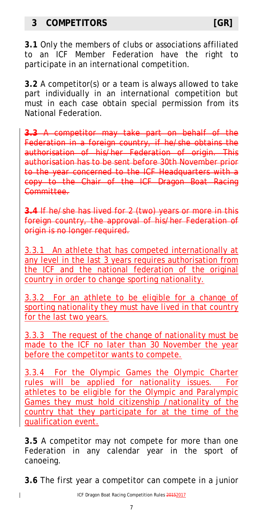#### <span id="page-6-0"></span>**3 COMPETITORS [GR]**

**3.2** A competitor(s) or a team is always allowed to take part individually in an international competition but must in each case obtain special permission from its National Federation.

**3.3** A competitor may take part on behalf of the Federation in a foreign country, if he/she obtains the authorisation of his/her Federation of origin. This authorisation has to be sent before 30th November prior to the year concerned to the ICF Headquarters with a copy to the Chair of the ICF Dragon Boat Racing Committee.

**3.4** If he/she has lived for 2 (two) years or more in this foreign country, the approval of his/her Federation of origin is no longer required.

3.3.1 An athlete that has competed internationally at any level in the last 3 years requires authorisation from the ICF and the national federation of the original country in order to change sporting nationality.

3.3.2 For an athlete to be eligible for a change of sporting nationality they must have lived in that country for the last two years.

3.3.3 The request of the change of nationality must be made to the ICF no later than 30 November the year before the competitor wants to compete.

3.3.4 For the Olympic Games the Olympic Charter rules will be applied for nationality issues. For athletes to be eligible for the Olympic and Paralympic Games they must hold citizenship /nationality of the country that they participate for at the time of the qualification event.

**3.5** A competitor may not compete for more than one Federation in any calendar year in the sport of canoeing.

**3.6** The first year a competitor can compete in a junior

 $\overline{\phantom{a}}$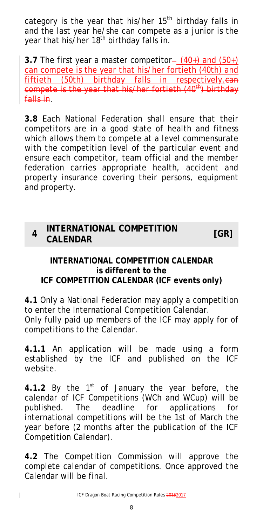category is the year that his/her 15<sup>th</sup> birthday falls in and the last year he/she can compete as a junior is the year that his/her 18<sup>th</sup> birthday falls in.

**3.7** The first year a master competitor- $(40+)$  and  $(50+)$ can compete is the year that his/her fortieth (40th) and fiftieth (50th) birthday falls in respectively.can compete is the year that his/her fortieth  $(40<sup>th</sup>)$  birthday falls in.

**3.8** Each National Federation shall ensure that their competitors are in a good state of health and fitness which allows them to compete at a level commensurate with the competition level of the particular event and ensure each competitor, team official and the member federation carries appropriate health, accident and property insurance covering their persons, equipment and property.

#### <span id="page-7-0"></span>**<sup>4</sup> INTERNATIONAL COMPETITION CALENDAR [GR]**

#### **INTERNATIONAL COMPETITION CALENDAR is different to the ICF COMPETITION CALENDAR (ICF events only)**

**4.1** Only a National Federation may apply a competition to enter the International Competition Calendar. Only fully paid up members of the ICF may apply for of competitions to the Calendar.

**4.1.1** An application will be made using a form established by the ICF and published on the ICF website.

4.1.2 By the 1<sup>st</sup> of January the year before, the calendar of ICF Competitions (WCh and WCup) will be published. The deadline for applications for international competitions will be the 1st of March the year before (2 months after the publication of the ICF Competition Calendar).

**4.2** The Competition Commission will approve the complete calendar of competitions. Once approved the Calendar will be final.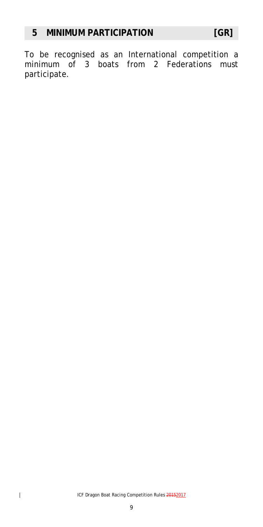<span id="page-8-1"></span><span id="page-8-0"></span>To be recognised as an International competition a minimum of 3 boats from 2 Federations must participate.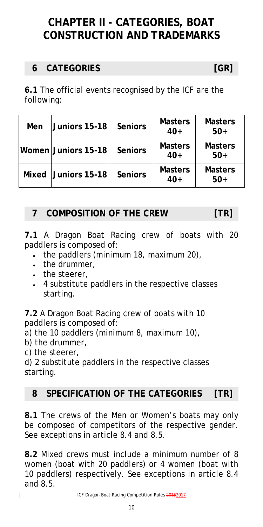# **CHAPTER II - CATEGORIES, BOAT CONSTRUCTION AND TRADEMARKS**

### <span id="page-9-0"></span>**6 CATEGORIES [GR]**

**6.1** The official events recognised by the ICF are the following:

| Men   | <b>Juniors 15-18</b>  | <b>Seniors</b> | <b>Masters</b><br>$40+$ | <b>Masters</b><br>$50+$ |
|-------|-----------------------|----------------|-------------------------|-------------------------|
|       | Women Juniors 15-18   | <b>Seniors</b> | <b>Masters</b><br>$40+$ | <b>Masters</b><br>$50+$ |
| Mixed | $ $ Juniors 15-18 $ $ | <b>Seniors</b> | <b>Masters</b><br>$40+$ | <b>Masters</b><br>$50+$ |

#### <span id="page-9-1"></span>**7 COMPOSITION OF THE CREW [TR]**

**7.1** A Dragon Boat Racing crew of boats with 20 paddlers is composed of:

- the paddlers (minimum 18, maximum 20),
- the drummer,
- the steerer,
- 4 substitute paddlers in the respective classes starting.

**7.2** A Dragon Boat Racing crew of boats with 10 paddlers is composed of:

a) the 10 paddlers (minimum 8, maximum 10),

b) the drummer,

c) the steerer,

 $\overline{\phantom{a}}$ 

d) 2 substitute paddlers in the respective classes starting.

### <span id="page-9-2"></span>**8 SPECIFICATION OF THE CATEGORIES [TR]**

**8.1** The crews of the Men or Women's boats may only be composed of competitors of the respective gender. See exceptions in article 8.4 and 8.5.

**8.2** Mixed crews must include a minimum number of 8 women (boat with 20 paddlers) or 4 women (boat with 10 paddlers) respectively. See exceptions in article 8.4 and 8.5.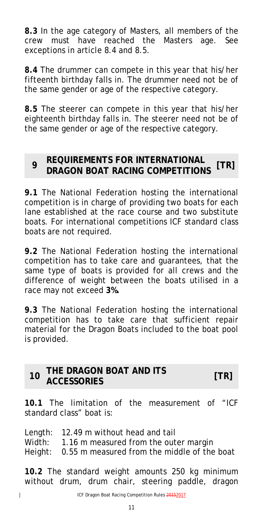**8.3** In the age category of Masters, all members of the crew must have reached the Masters age. See exceptions in article 8.4 and 8.5.

**8.4** The drummer can compete in this year that his/her fifteenth birthday falls in. The drummer need not be of the same gender or age of the respective category.

**8.5** The steerer can compete in this year that his/her eighteenth birthday falls in. The steerer need not be of the same gender or age of the respective category.

#### <span id="page-10-0"></span>**<sup>9</sup> REQUIREMENTS FOR INTERNATIONAL DRAGON BOAT RACING COMPETITIONS [TR]**

**9.1** The National Federation hosting the international competition is in charge of providing two boats for each lane established at the race course and two substitute boats. For international competitions ICF standard class boats are not required.

**9.2** The National Federation hosting the international competition has to take care and guarantees, that the same type of boats is provided for all crews and the difference of weight between the boats utilised in a race may not exceed **3%.**

**9.3** The National Federation hosting the international competition has to take care that sufficient repair material for the Dragon Boats included to the boat pool is provided.

#### <span id="page-10-1"></span>**<sup>10</sup> THE DRAGON BOAT AND ITS ACCESSORIES [TR]**

**10.1** The limitation of the measurement of "ICF standard class" boat is:

Length: 12.49 m without head and tail Width: 1.16 m measured from the outer margin Height: 0.55 m measured from the middle of the boat

**10.2** The standard weight amounts 250 kg minimum without drum, drum chair, steering paddle, dragon

 $\overline{\phantom{a}}$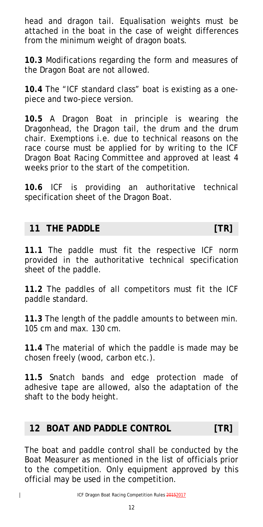head and dragon tail. Equalisation weights must be attached in the boat in the case of weight differences from the minimum weight of dragon boats.

**10.3** Modifications regarding the form and measures of the Dragon Boat are not allowed.

**10.4** The "ICF standard class" boat is existing as a onepiece and two-piece version.

**10.5** A Dragon Boat in principle is wearing the Dragonhead, the Dragon tail, the drum and the drum chair. Exemptions i.e. due to technical reasons on the race course must be applied for by writing to the ICF Dragon Boat Racing Committee and approved at least 4 weeks prior to the start of the competition.

**10.6** ICF is providing an authoritative technical specification sheet of the Dragon Boat.

#### <span id="page-11-0"></span>**11 THE PADDLE [TR]**

**11.1** The paddle must fit the respective ICF norm provided in the authoritative technical specification sheet of the paddle.

**11.2** The paddles of all competitors must fit the ICF paddle standard.

**11.3** The length of the paddle amounts to between min. 105 cm and max. 130 cm.

**11.4** The material of which the paddle is made may be chosen freely (wood, carbon etc.).

**11.5** Snatch bands and edge protection made of adhesive tape are allowed, also the adaptation of the shaft to the body height.

#### <span id="page-11-1"></span>**12 BOAT AND PADDLE CONTROL [TR]**

The boat and paddle control shall be conducted by the Boat Measurer as mentioned in the list of officials prior to the competition. Only equipment approved by this official may be used in the competition.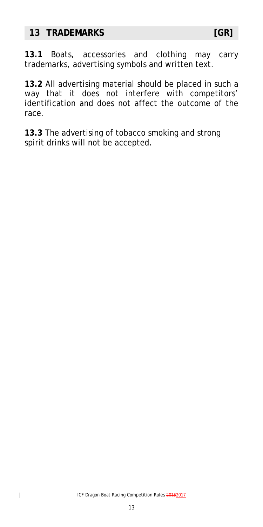#### <span id="page-12-0"></span>**13 TRADEMARKS [GR]**

**13.1** Boats, accessories and clothing may carry trademarks, advertising symbols and written text.

**13.2** All advertising material should be placed in such a way that it does not interfere with competitors' identification and does not affect the outcome of the race.

<span id="page-12-1"></span>**13.3** The advertising of tobacco smoking and strong spirit drinks will not be accepted.

 $\overline{\mathbf{I}}$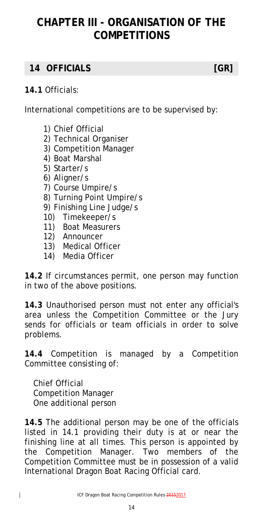# **CHAPTER III - ORGANISATION OF THE COMPETITIONS**

### <span id="page-13-0"></span>**14 OFFICIALS [GR]**

#### **14.1** Officials:

International competitions are to be supervised by:

- 1) Chief Official
- 2) Technical Organiser
- 3) Competition Manager
- 4) Boat Marshal
- 5) Starter/s
- 6) Aligner/s
- 7) Course Umpire/s
- 8) Turning Point Umpire/s
- 9) Finishing Line Judge/s
- 10) Timekeeper/s
- 11) Boat Measurers
- 12) Announcer
- 13) Medical Officer
- 14) Media Officer

**14.2** If circumstances permit, one person may function in two of the above positions.

**14.3** Unauthorised person must not enter any official's area unless the Competition Committee or the Jury sends for officials or team officials in order to solve problems.

**14.4** Competition is managed by a Competition Committee consisting of:

Chief Official Competition Manager One additional person

**14.5** The additional person may be one of the officials listed in 14.1 providing their duty is at or near the finishing line at all times. This person is appointed by the Competition Manager. Two members of the Competition Committee must be in possession of a valid International Dragon Boat Racing Official card.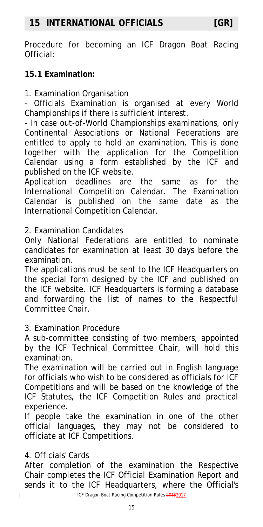<span id="page-14-0"></span>Procedure for becoming an ICF Dragon Boat Racing Official:

#### **15.1 Examination:**

1. Examination Organisation

- Officials Examination is organised at every World Championships if there is sufficient interest.

- In case out-of-World Championships examinations, only Continental Associations or National Federations are entitled to apply to hold an examination. This is done together with the application for the Competition Calendar using a form established by the ICF and published on the ICF website.

Application deadlines are the same as for the International Competition Calendar. The Examination Calendar is published on the same date as the International Competition Calendar.

#### 2. Examination Candidates

Only National Federations are entitled to nominate candidates for examination at least 30 days before the examination.

The applications must be sent to the ICF Headquarters on the special form designed by the ICF and published on the ICF website. ICF Headquarters is forming a database and forwarding the list of names to the Respectful Committee Chair.

3. Examination Procedure

A sub-committee consisting of two members, appointed by the ICF Technical Committee Chair, will hold this examination.

The examination will be carried out in English language for officials who wish to be considered as officials for ICF Competitions and will be based on the knowledge of the ICF Statutes, the ICF Competition Rules and practical experience.

If people take the examination in one of the other official languages, they may not be considered to officiate at ICF Competitions.

#### 4. Officials' Cards

 $\overline{1}$ 

After completion of the examination the Respective Chair completes the ICF Official Examination Report and sends it to the ICF Headquarters, where the Official's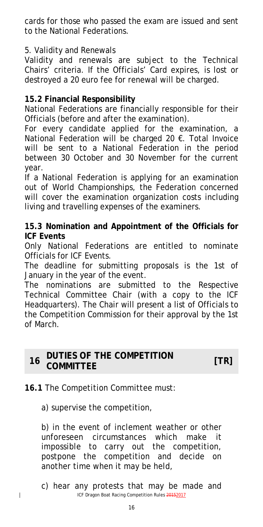cards for those who passed the exam are issued and sent to the National Federations.

#### 5. Validity and Renewals

Validity and renewals are subject to the Technical Chairs' criteria. If the Officials' Card expires, is lost or destroyed a 20 euro fee for renewal will be charged.

#### **15.2 Financial Responsibility**

National Federations are financially responsible for their Officials (before and after the examination).

For every candidate applied for the examination, a National Federation will be charged 20 €. Total Invoice will be sent to a National Federation in the period between 30 October and 30 November for the current year.

If a National Federation is applying for an examination out of World Championships, the Federation concerned will cover the examination organization costs including living and travelling expenses of the examiners.

#### **15.3 Nomination and Appointment of the Officials for ICF Events**

Only National Federations are entitled to nominate Officials for ICF Events.

The deadline for submitting proposals is the 1st of January in the year of the event.

The nominations are submitted to the Respective Technical Committee Chair (with a copy to the ICF Headquarters). The Chair will present a list of Officials to the Competition Commission for their approval by the 1st of March.

#### <span id="page-15-0"></span>**<sup>16</sup> DUTIES OF THE COMPETITION COMMITTEE [TR]**

#### **16.1** The Competition Committee must:

a) supervise the competition,

 $\overline{\phantom{a}}$ 

b) in the event of inclement weather or other unforeseen circumstances which make it impossible to carry out the competition, postpone the competition and decide on another time when it may be held,

ICF Dragon Boat Racing Competition Rules 20152017 c) hear any protests that may be made and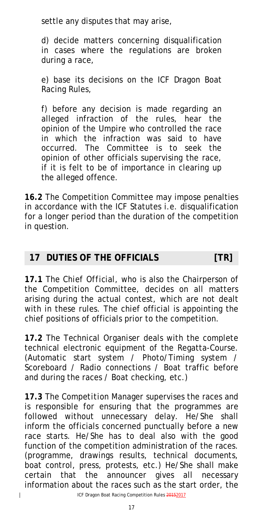settle any disputes that may arise,

d) decide matters concerning disqualification in cases where the regulations are broken during a race,

e) base its decisions on the ICF Dragon Boat Racing Rules,

f) before any decision is made regarding an alleged infraction of the rules, hear the opinion of the Umpire who controlled the race in which the infraction was said to have occurred. The Committee is to seek the opinion of other officials supervising the race, if it is felt to be of importance in clearing up the alleged offence.

**16.2** The Competition Committee may impose penalties in accordance with the ICF Statutes i.e. disqualification for a longer period than the duration of the competition in question.

#### <span id="page-16-0"></span>**17 DUTIES OF THE OFFICIALS [TR]**

**17.1** The *Chief Official*, who is also the Chairperson of the Competition Committee, decides on all matters arising during the actual contest, which are not dealt with in these rules. The chief official is appointing the chief positions of officials prior to the competition.

**17.2** The *Technical Organiser* deals with the complete technical electronic equipment of the Regatta-Course. (Automatic start system / Photo/Timing system / Scoreboard / Radio connections / Boat traffic before and during the races / Boat checking, etc.)

**17.3** The *Competition Manager* supervises the races and is responsible for ensuring that the programmes are followed without unnecessary delay. He/She shall inform the officials concerned punctually before a new race starts. He/She has to deal also with the good function of the competition administration of the races. (programme, drawings results, technical documents, boat control, press, protests, etc.) He/She shall make certain that the announcer gives all necessary information about the races such as the start order, the

 $\overline{1}$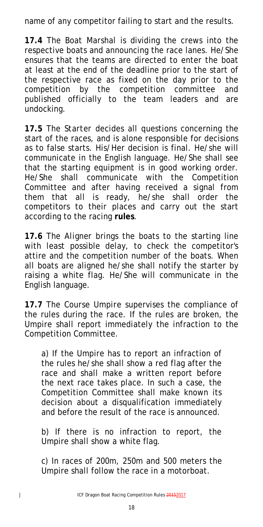name of any competitor failing to start and the results.

**17.4** The *Boat Marshal* is dividing the crews into the respective boats and announcing the race lanes. He/She ensures that the teams are directed to enter the boat at least at the end of the deadline prior to the start of the respective race as fixed on the day prior to the competition by the competition committee and published officially to the team leaders and are undocking.

**17.5** The *Starter* decides all questions concerning the start of the races, and is alone responsible for decisions as to false starts. His/Her decision is final. He/she will communicate in the English language. He/She shall see that the starting equipment is in good working order. He/She shall communicate with the Competition Committee and after having received a signal from them that all is ready, he/she shall order the competitors to their places and carry out the start according to the racing **rules**.

**17.6** The *Aligner* brings the boats to the starting line with least possible delay, to check the competitor's attire and the competition number of the boats. When all boats are aligned he/she shall notify the starter by raising a white flag. He/She will communicate in the English language.

**17.7** The *Course Umpire* supervises the compliance of the rules during the race. If the rules are broken, the Umpire shall report immediately the infraction to the Competition Committee.

a) If the Umpire has to report an infraction of the rules he/she shall show a red flag after the race and shall make a written report before the next race takes place. In such a case, the Competition Committee shall make known its decision about a disqualification immediately and before the result of the race is announced.

*b)* If there is no infraction to report, the Umpire shall show a white flag.

*c)* In races of 200m, 250m and 500 meters the Umpire shall follow the race in a motorboat.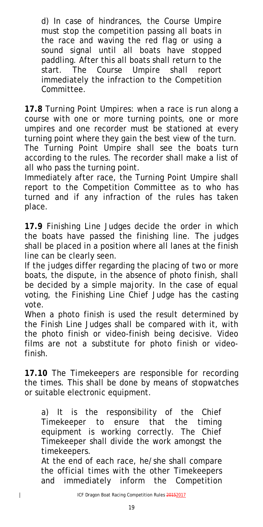*d)* In case of hindrances, the Course Umpire must stop the competition passing all boats in the race and waving the red flag or using a sound signal until all boats have stopped paddling. After this all boats shall return to the start. The Course Umpire shall report immediately the infraction to the Competition Committee.

**17.8** *Turning Point Umpires*: when a race is run along a course with one or more turning points, one or more umpires and one recorder must be stationed at every turning point where they gain the best view of the turn. The Turning Point Umpire shall see the boats turn according to the rules. The recorder shall make a list of all who pass the turning point.

Immediately after race, the Turning Point Umpire shall report to the Competition Committee as to who has turned and if any infraction of the rules has taken place.

**17.9** *Finishing Line Judges* decide the order in which the boats have passed the finishing line. The judges shall be placed in a position where all lanes at the finish line can be clearly seen.

If the judges differ regarding the placing of two or more boats, the dispute, in the absence of photo finish, shall be decided by a simple majority. In the case of equal voting, the Finishing Line Chief Judge has the casting vote.

When a photo finish is used the result determined by the Finish Line Judges shall be compared with it, with the photo finish or video-finish being decisive. Video films are not a substitute for photo finish or videofinish.

**17.10** The *Timekeepers* are responsible for recording the times. This shall be done by means of stopwatches or suitable electronic equipment.

*a)* It is the responsibility of the Chief Timekeeper to ensure that the timing equipment is working correctly. The Chief Timekeeper shall divide the work amongst the timekeepers.

 At the end of each race, he/she shall compare the official times with the other Timekeepers and immediately inform the Competition

 $\overline{\mathbf{I}}$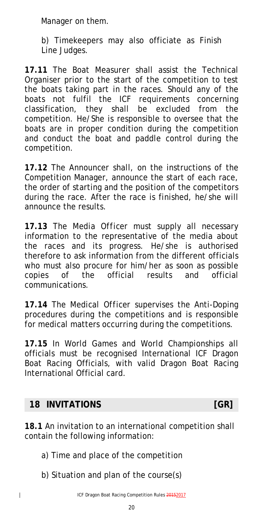Manager on them.

*b)* Timekeepers may also officiate as Finish Line Judges.

**17.11** The *Boat Measurer* shall assist the Technical Organiser prior to the start of the competition to test the boats taking part in the races. Should any of the boats not fulfil the ICF requirements concerning classification, they shall be excluded from the competition. He/She is responsible to oversee that the boats are in proper condition during the competition and conduct the boat and paddle control during the competition.

**17.12** The *Announcer* shall, on the instructions of the Competition Manager, announce the start of each race, the order of starting and the position of the competitors during the race. After the race is finished, he/she will announce the results.

**17.13** The *Media Officer* must supply all necessary information to the representative of the media about the races and its progress. He/she is authorised therefore to ask information from the different officials who must also procure for him/her as soon as possible copies of the official results and official communications.

**17.14** The *Medical Officer* supervises the Anti-Doping procedures during the competitions and is responsible for medical matters occurring during the competitions.

**17.15** In World Games and World Championships all officials must be recognised International ICF Dragon Boat Racing Officials, with valid Dragon Boat Racing International Official card.

#### <span id="page-19-0"></span>**18 INVITATIONS [GR]**

 $\overline{\phantom{a}}$ 

**18.1** An invitation to an international competition shall contain the following information:

- a) Time and place of the competition
- b) Situation and plan of the course(s)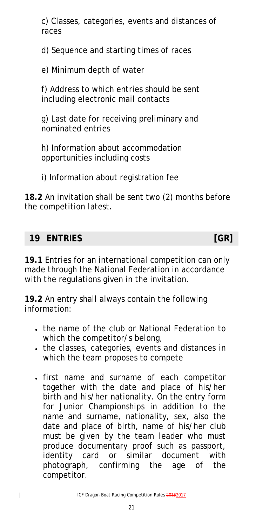c) Classes, categories, events and distances of races

d) Sequence and starting times of races

e) Minimum depth of water

f) Address to which entries should be sent including electronic mail contacts

g) Last date for receiving preliminary and nominated entries

h) Information about accommodation opportunities including costs

i) Information about registration fee

**18.2** An invitation shall be sent two (2) months before the competition latest.

#### <span id="page-20-0"></span>**19 ENTRIES [GR]**

 $\overline{\phantom{a}}$ 

**19.1** Entries for an international competition can only made through the National Federation in accordance with the regulations given in the invitation.

**19.2** An entry shall always contain the following information:

- the name of the club or National Federation to which the competitor/s belong,
- the classes, categories, events and distances in which the team proposes to compete
- first name and surname of each competitor together with the date and place of his/her birth and his/her nationality. On the entry form for Junior Championships in addition to the name and surname, nationality, sex, also the date and place of birth, name of his/her club must be given by the team leader who must produce documentary proof such as passport, identity card or similar document with photograph, confirming the age of the competitor.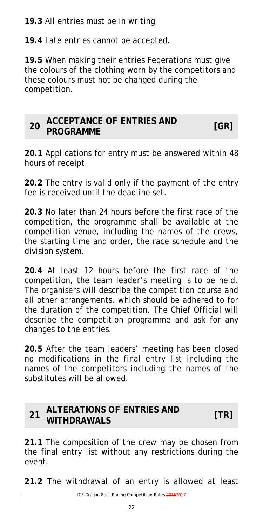**19.3** All entries must be in writing.

**19.4** Late entries cannot be accepted.

**19.5** When making their entries Federations must give the colours of the clothing worn by the competitors and these colours must not be changed during the competition.

#### <span id="page-21-0"></span>**<sup>20</sup> ACCEPTANCE OF ENTRIES AND PROGRAMME [GR]**

**20.1** Applications for entry must be answered within 48 hours of receipt.

**20.2** The entry is valid only if the payment of the entry fee is received until the deadline set.

**20.3** No later than 24 hours before the first race of the competition, the programme shall be available at the competition venue, including the names of the crews, the starting time and order, the race schedule and the division system.

**20.4** At least 12 hours before the first race of the competition, the team leader's meeting is to be held. The organisers will describe the competition course and all other arrangements, which should be adhered to for the duration of the competition. The Chief Official will describe the competition programme and ask for any changes to the entries.

**20.5** After the team leaders' meeting has been closed no modifications in the final entry list including the names of the competitors including the names of the substitutes will be allowed.

#### <span id="page-21-1"></span>**<sup>21</sup> ALTERATIONS OF ENTRIES AND WITHDRAWALS [TR]**

**21.1** The composition of the crew may be chosen from the final entry list without any restrictions during the event.

**21.2** The withdrawal of an entry is allowed at least

 $\overline{\mathbf{I}}$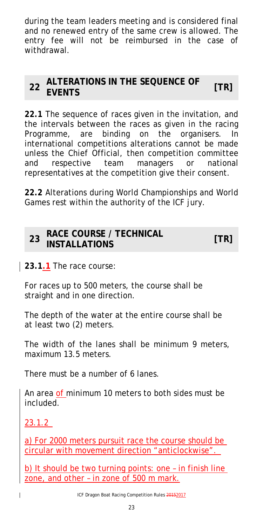during the team leaders meeting and is considered final and no renewed entry of the same crew is allowed. The entry fee will not be reimbursed in the case of withdrawal.

#### <span id="page-22-0"></span>**<sup>22</sup> ALTERATIONS IN THE SEQUENCE OF EVENTS [TR]**

**22.1** The sequence of races given in the invitation, and the intervals between the races as given in the racing Programme, are binding on the organisers. In international competitions alterations cannot be made unless the Chief Official, then competition committee and respective team managers or national representatives at the competition give their consent.

**22.2** Alterations during World Championships and World Games rest within the authority of the ICF jury.

<span id="page-22-1"></span>

| <b>RACE COURSE / TECHNICAL</b> |      |
|--------------------------------|------|
| 23 <b>INSTALLATIONS</b>        | [TR] |

**23.1.1** The race course:

For races up to 500 meters, the course shall be straight and in one direction.

The depth of the water at the entire course shall be at least two (2) meters.

The width of the lanes shall be minimum 9 meters, maximum 13.5 meters.

There must be a number of 6 lanes.

An area of minimum 10 meters to both sides must be included.

23.1.2

 $\overline{\phantom{a}}$ 

a) For 2000 meters pursuit race the course should be circular with movement direction "anticlockwise".

b) It should be two turning points: one – in finish line zone, and other – in zone of 500 m mark.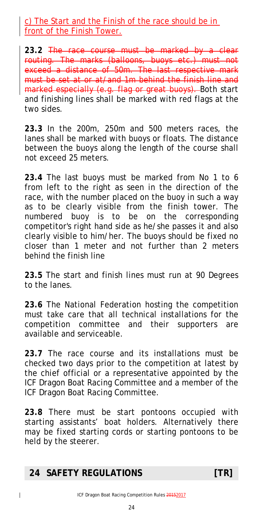c) The Start and the Finish of the race should be in front of the Finish Tower.

**23.2** The race course must be marked by a clear routing. The marks (balloons, buoys etc.) must not exceed a distance of 50m. The last respective mark must be set at or at/and 1m behind the finish line and marked especially (e.g. flag or great buoys). Both start and finishing lines shall be marked with red flags at the two sides.

**23.3** In the 200m, 250m and 500 meters races, the lanes shall be marked with buoys or floats. The distance between the buoys along the length of the course shall not exceed 25 meters.

**23.4** The last buoys must be marked from No 1 to 6 from left to the right as seen in the direction of the race, with the number placed on the buoy in such a way as to be clearly visible from the finish tower. The numbered buoy is to be on the corresponding competitor's right hand side as he/she passes it and also clearly visible to him/her. The buoys should be fixed no closer than 1 meter and not further than 2 meters behind the finish line

**23.5** The start and finish lines must run at 90 Degrees to the lanes.

**23.6** The National Federation hosting the competition must take care that all technical installations for the competition committee and their supporters are available and serviceable.

**23.7** The race course and its installations must be checked two days prior to the competition at latest by the chief official or a representative appointed by the ICF Dragon Boat Racing Committee and a member of the ICF Dragon Boat Racing Committee.

**23.8** There must be start pontoons occupied with starting assistants' boat holders. Alternatively there may be fixed starting cords or starting pontoons to be held by the steerer.

#### <span id="page-23-0"></span>**24 SAFETY REGULATIONS [TR]**

 $\overline{\phantom{a}}$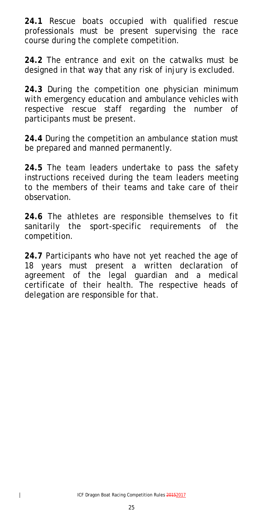**24.1** Rescue boats occupied with qualified rescue professionals must be present supervising the race course during the complete competition.

**24.2** The entrance and exit on the catwalks must be designed in that way that any risk of injury is excluded.

**24.3** During the competition one physician minimum with emergency education and ambulance vehicles with respective rescue staff regarding the number of participants must be present.

**24.4** During the competition an ambulance station must be prepared and manned permanently.

**24.5** The team leaders undertake to pass the safety instructions received during the team leaders meeting to the members of their teams and take care of their observation.

**24.6** The athletes are responsible themselves to fit sanitarily the sport-specific requirements of the competition.

<span id="page-24-0"></span>**24.7** Participants who have not yet reached the age of 18 years must present a written declaration of agreement of the legal guardian and a medical certificate of their health. The respective heads of delegation are responsible for that.

 $\overline{\phantom{a}}$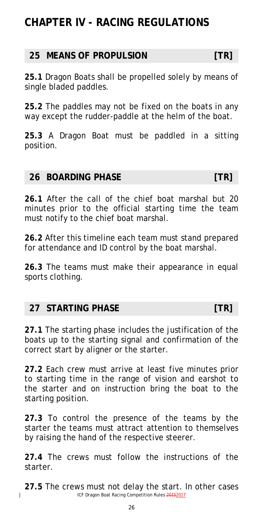# **CHAPTER IV - RACING REGULATIONS**

#### <span id="page-25-0"></span>**25 MEANS OF PROPULSION [TR]**

**25.1** Dragon Boats shall be propelled solely by means of single bladed paddles.

**25.2** The paddles may not be fixed on the boats in any way except the rudder-paddle at the helm of the boat.

**25.3** A Dragon Boat must be paddled in a sitting position.

#### <span id="page-25-1"></span>**26 BOARDING PHASE [TR]**

**26.1** After the call of the chief boat marshal but 20 minutes prior to the official starting time the team must notify to the chief boat marshal.

**26.2** After this timeline each team must stand prepared for attendance and ID control by the boat marshal.

**26.3** The teams must make their appearance in equal sports clothing.

#### <span id="page-25-2"></span>**27 STARTING PHASE [TR]**

 $\overline{1}$ 

**27.1** The starting phase includes the justification of the boats up to the starting signal and confirmation of the correct start by aligner or the starter.

**27.2** Each crew must arrive at least five minutes prior to starting time in the range of vision and earshot to the starter and on instruction bring the boat to the starting position.

**27.3** To control the presence of the teams by the starter the teams must attract attention to themselves by raising the hand of the respective steerer.

**27.4** The crews must follow the instructions of the starter.

ICF Dragon Boat Racing Competition Rules 20152017 **27.5** The crews must not delay the start. In other cases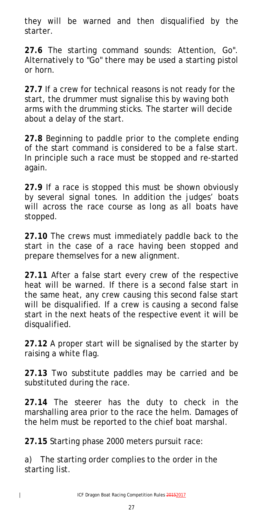they will be warned and then disqualified by the starter.

**27.6** The starting command sounds: Attention, Go". Alternatively to "Go" there may be used a starting pistol or horn.

**27.7** If a crew for technical reasons is not ready for the start, the drummer must signalise this by waving both arms with the drumming sticks. The starter will decide about a delay of the start.

**27.8** Beginning to paddle prior to the complete ending of the start command is considered to be a false start. In principle such a race must be stopped and re-started again.

**27.9** If a race is stopped this must be shown obviously by several signal tones. In addition the judges' boats will across the race course as long as all boats have stopped.

**27.10** The crews must immediately paddle back to the start in the case of a race having been stopped and prepare themselves for a new alignment.

**27.11** After a false start every crew of the respective heat will be warned. If there is a second false start in the same heat, any crew causing this second false start will be disqualified. If a crew is causing a second false start in the next heats of the respective event it will be disqualified.

**27.12** A proper start will be signalised by the starter by raising a white flag.

**27.13** Two substitute paddles may be carried and be substituted during the race.

**27.14** The steerer has the duty to check in the marshalling area prior to the race the helm. Damages of the helm must be reported to the chief boat marshal.

**27.15** Starting phase 2000 meters pursuit race:

 $\overline{\phantom{a}}$ 

a) The starting order complies to the order in the starting list.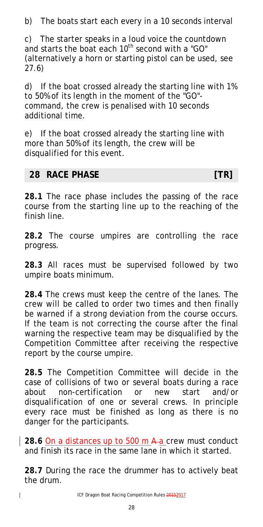b) The boats start each every in a 10 seconds interval

c) The starter speaks in a loud voice the countdown and starts the boat each  $10^{th}$  second with a "GO" (alternatively a horn or starting pistol can be used, see 27.6)

d) If the boat crossed already the starting line with 1% to 50% of its length in the moment of the "GO" command, the crew is penalised with 10 seconds additional time.

e) If the boat crossed already the starting line with more than 50% of its length, the crew will be disqualified for this event.

#### <span id="page-27-0"></span>**28 RACE PHASE [TR]**

 $\overline{\phantom{a}}$ 

**28.1** The race phase includes the passing of the race course from the starting line up to the reaching of the finish line.

**28.2** The course umpires are controlling the race progress.

**28.3** All races must be supervised followed by two umpire boats minimum.

**28.4** The crews must keep the centre of the lanes. The crew will be called to order two times and then finally be warned if a strong deviation from the course occurs. If the team is not correcting the course after the final warning the respective team may be disqualified by the Competition Committee after receiving the respective report by the course umpire.

**28.5** The Competition Committee will decide in the case of collisions of two or several boats during a race about non-certification or new start and/or disqualification of one or several crews. In principle every race must be finished as long as there is no danger for the participants.

28.6 On a distances up to 500 m A a crew must conduct and finish its race in the same lane in which it started.

**28.7** During the race the drummer has to actively beat the drum.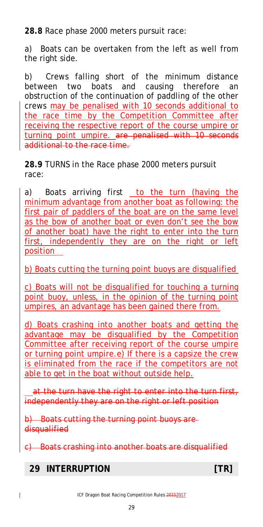**28.8** Race phase 2000 meters pursuit race:

a) Boats can be overtaken from the left as well from the right side.

b) Crews falling short of the minimum distance between two boats and causing therefore an obstruction of the continuation of paddling of the other crews may be penalised with 10 seconds additional to the race time by the Competition Committee after receiving the respective report of the course umpire or turning point umpire. are penalised with 10 seconds additional to the race time.

**28.9** TURNS in the Race phase 2000 meters pursuit race:

a) Boats arriving first to the turn (having the minimum advantage from another boat as following: the first pair of paddlers of the boat are on the same level as the bow of another boat or even don't see the bow of another boat) have the right to enter into the turn first, independently they are on the right or left position

b) Boats cutting the turning point buoys are disqualified

c) Boats will not be disqualified for touching a turning point buoy, unless, in the opinion of the turning point umpires, an advantage has been gained there from.

d) Boats crashing into another boats and getting the advantage may be disqualified by the Competition Committee after receiving report of the course umpire or turning point umpire.e) If there is a capsize the crew is eliminated from the race if the competitors are not able to get in the boat without outside help.

at the turn have the right to enter into the turn first, independently they are on the right or left position

b) Boats cutting the turning point buoys are disqualified

c) Boats crashing into another boats are disqualified

#### <span id="page-28-0"></span>**29 INTERRUPTION [TR]**

 $\overline{\phantom{a}}$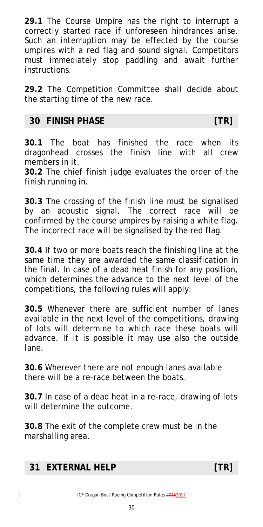**29.1** The Course Umpire has the right to interrupt a correctly started race if unforeseen hindrances arise. Such an interruption may be effected by the course umpires with a red flag and sound signal. Competitors must immediately stop paddling and await further instructions.

**29.2** The Competition Committee shall decide about the starting time of the new race.

#### <span id="page-29-0"></span>**30 FINISH PHASE [TR]**

**30.1** The boat has finished the race when its dragonhead crosses the finish line with all crew members in it.

**30.2** The chief finish judge evaluates the order of the finish running in.

**30.3** The crossing of the finish line must be signalised by an acoustic signal. The correct race will be confirmed by the course umpires by raising a white flag. The incorrect race will be signalised by the red flag.

**30.4** If two or more boats reach the finishing line at the same time they are awarded the same classification in the final. In case of a dead heat finish for any position, which determines the advance to the next level of the competitions, the following rules will apply:

**30.5** Whenever there are sufficient number of lanes available in the next level of the competitions, drawing of lots will determine to which race these boats will advance. If it is possible it may use also the outside lane.

**30.6** Wherever there are not enough lanes available there will be a re-race between the boats.

**30.7** In case of a dead heat in a re-race, drawing of lots will determine the outcome.

**30.8** The exit of the complete crew must be in the marshalling area.

#### <span id="page-29-1"></span>**31 EXTERNAL HELP [TR]**

 $\overline{\phantom{a}}$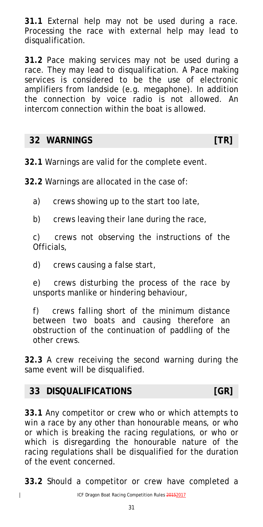**31.1** External help may not be used during a race. Processing the race with external help may lead to disqualification.

**31.2** Pace making services may not be used during a race. They may lead to disqualification. A Pace making services is considered to be the use of electronic amplifiers from landside (e.g. megaphone). In addition the connection by voice radio is not allowed. An intercom connection within the boat is allowed.

#### <span id="page-30-0"></span>**32 WARNINGS [TR]**

**32.1** Warnings are valid for the complete event.

**32.2** Warnings are allocated in the case of:

a) crews showing up to the start too late,

b) crews leaving their lane during the race,

c) crews not observing the instructions of the Officials,

d) crews causing a false start,

e) crews disturbing the process of the race by unsports manlike or hindering behaviour,

f) crews falling short of the minimum distance between two boats and causing therefore an obstruction of the continuation of paddling of the other crews.

**32.3** A crew receiving the second warning during the same event will be disqualified.

#### <span id="page-30-1"></span>**33 DISQUALIFICATIONS [GR]**

 $\overline{\phantom{a}}$ 

**33.1** Any competitor or crew who or which attempts to win a race by any other than honourable means, or who or which is breaking the racing regulations, or who or which is disregarding the honourable nature of the racing regulations shall be disqualified for the duration of the event concerned.

**33.2** Should a competitor or crew have completed a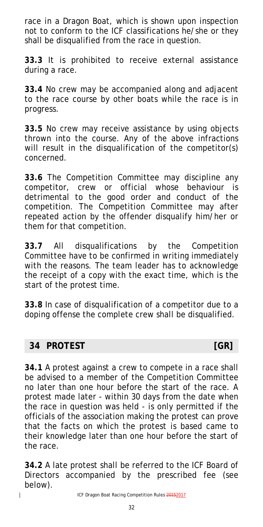race in a Dragon Boat, which is shown upon inspection not to conform to the ICF classifications he/she or they shall be disqualified from the race in question.

**33.3** It is prohibited to receive external assistance during a race.

**33.4** No crew may be accompanied along and adjacent to the race course by other boats while the race is in progress.

**33.5** No crew may receive assistance by using objects thrown into the course. Any of the above infractions will result in the disqualification of the competitor(s) concerned.

**33.6** The Competition Committee may discipline any competitor, crew or official whose behaviour is detrimental to the good order and conduct of the competition. The Competition Committee may after repeated action by the offender disqualify him/her or them for that competition.

**33.7** All disqualifications by the Competition Committee have to be confirmed in writing immediately with the reasons. The team leader has to acknowledge the receipt of a copy with the exact time, which is the start of the protest time.

**33.8** In case of disqualification of a competitor due to a doping offense the complete crew shall be disqualified.

#### <span id="page-31-0"></span>**34 PROTEST [GR]**

 $\overline{1}$ 

**34.1** A protest against a crew to compete in a race shall be advised to a member of the Competition Committee no later than one hour before the start of the race. A protest made later - within 30 days from the date when the race in question was held - is only permitted if the officials of the association making the protest can prove that the facts on which the protest is based came to their knowledge later than one hour before the start of the race.

**34.2** A late protest shall be referred to the ICF Board of Directors accompanied by the prescribed fee (see below).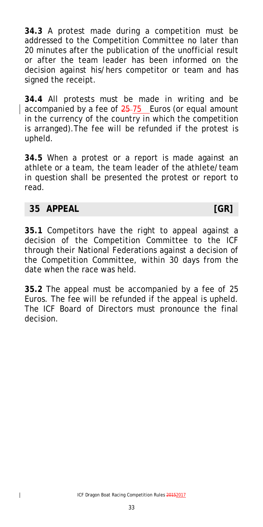**34.3** A protest made during a competition must be addressed to the Competition Committee no later than 20 minutes after the publication of the unofficial result or after the team leader has been informed on the decision against his/hers competitor or team and has signed the receipt.

**34.4** All protests must be made in writing and be accompanied by a fee of 25-75 Euros (or equal amount in the currency of the country in which the competition is arranged).The fee will be refunded if the protest is upheld.

**34.5** When a protest or a report is made against an athlete or a team, the team leader of the athlete/team in question shall be presented the protest or report to read.

#### <span id="page-32-0"></span>**35 APPEAL [GR]**

**35.1** Competitors have the right to appeal against a decision of the Competition Committee to the ICF through their National Federations against a decision of the Competition Committee, within 30 days from the date when the race was held.

<span id="page-32-1"></span>**35.2** The appeal must be accompanied by a fee of 25 Euros. The fee will be refunded if the appeal is upheld. The ICF Board of Directors must pronounce the final decision.

33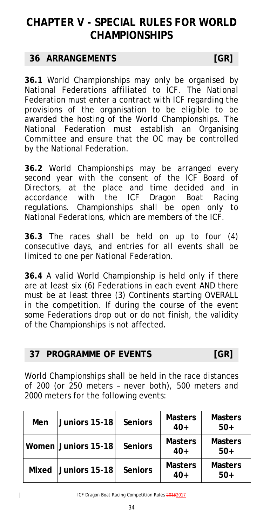# **CHAPTER V - SPECIAL RULES FOR WORLD CHAMPIONSHIPS**

#### <span id="page-33-0"></span>**36 ARRANGEMENTS [GR]**

**36.1** World Championships may only be organised by National Federations affiliated to ICF. The National Federation must enter a contract with ICF regarding the provisions of the organisation to be eligible to be awarded the hosting of the World Championships. The National Federation must establish an Organising Committee and ensure that the OC may be controlled by the National Federation.

**36.2** World Championships may be arranged every second year with the consent of the ICF Board of Directors, at the place and time decided and in accordance with the ICF Dragon Boat Racing regulations. Championships shall be open only to National Federations, which are members of the ICF.

**36.3** The races shall be held on up to four (4) consecutive days, and entries for all events shall be limited to one per National Federation.

**36.4** A valid World Championship is held only if there are at least six (6) Federations in each event AND there must be at least three (3) Continents starting OVERALL in the competition. If during the course of the event some Federations drop out or do not finish, the validity of the Championships is not affected.

### <span id="page-33-1"></span>**37 PROGRAMME OF EVENTS [GR]**

World Championships shall be held in the race distances of 200 (or 250 meters – never both), 500 meters and 2000 meters for the following events:

| Men   | Juniors 15-18       | <b>Seniors</b> | <b>Masters</b><br>$40+$ | <b>Masters</b><br>$50+$ |
|-------|---------------------|----------------|-------------------------|-------------------------|
|       | Women Juniors 15-18 | <b>Seniors</b> | <b>Masters</b><br>$40+$ | <b>Masters</b><br>$50+$ |
| Mixed | Juniors 15-18       | <b>Seniors</b> | <b>Masters</b><br>$40+$ | <b>Masters</b><br>$50+$ |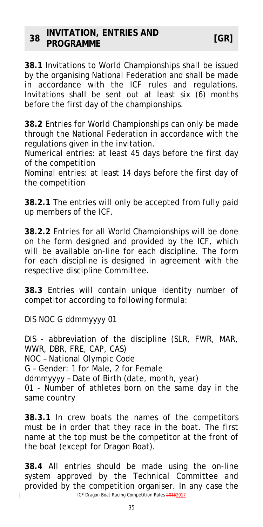<span id="page-34-0"></span>**38.1** Invitations to World Championships shall be issued by the organising National Federation and shall be made in accordance with the ICF rules and regulations. Invitations shall be sent out at least six (6) months before the first day of the championships.

**38.2** Entries for World Championships can only be made through the National Federation in accordance with the regulations given in the invitation.

Numerical entries: at least 45 days before the first day of the competition

Nominal entries: at least 14 days before the first day of the competition

**38.2.1** The entries will only be accepted from fully paid up members of the ICF.

**38.2.2** Entries for all World Championships will be done on the form designed and provided by the ICF, which will be available on-line for each discipline. The form for each discipline is designed in agreement with the respective discipline Committee.

**38.3** Entries will contain unique identity number of competitor according to following formula:

DIS NOC G ddmmyyyy 01

 $\overline{\phantom{a}}$ 

DIS - abbreviation of the discipline (SLR, FWR, MAR, WWR, DBR, FRE, CAP, CAS)

NOC – National Olympic Code

G – Gender: 1 for Male, 2 for Female

ddmmyyyy – Date of Birth (date, month, year)

01 - Number of athletes born on the same day in the same country

**38.3.1** In crew boats the names of the competitors must be in order that they race in the boat. The first name at the top must be the competitor at the front of the boat (except for Dragon Boat).

ICF Dragon Boat Racing Competition Rules 20152017 **38.4** All entries should be made using the on-line system approved by the Technical Committee and provided by the competition organiser. In any case the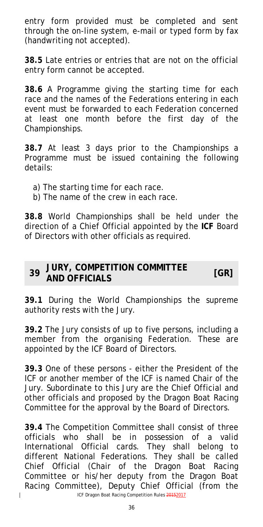entry form provided must be completed and sent through the on-line system, e-mail or typed form by fax (handwriting not accepted).

**38.5** Late entries or entries that are not on the official entry form cannot be accepted.

**38.6** A Programme giving the starting time for each race and the names of the Federations entering in each event must be forwarded to each Federation concerned at least one month before the first day of the Championships.

**38.7** At least 3 days prior to the Championships a Programme must be issued containing the following details:

- a) The starting time for each race.
- b) The name of the crew in each race.

**38.8** World Championships shall be held under the direction of a Chief Official appointed by the **ICF** Board of Directors with other officials as required.

#### <span id="page-35-0"></span>**<sup>39</sup> JURY, COMPETITION COMMITTEE AND OFFICIALS [GR]**

**39.1** During the World Championships the supreme authority rests with the Jury.

**39.2** The Jury consists of up to five persons, including a member from the organising Federation. These are appointed by the ICF Board of Directors.

**39.3** One of these persons - either the President of the ICF or another member of the ICF is named Chair of the Jury. Subordinate to this Jury are the Chief Official and other officials and proposed by the Dragon Boat Racing Committee for the approval by the Board of Directors.

**39.4** The Competition Committee shall consist of three officials who shall be in possession of a valid International Official cards. They shall belong to different National Federations. They shall be called Chief Official (Chair of the Dragon Boat Racing Committee or his/her deputy from the Dragon Boat Racing Committee), Deputy Chief Official (from the

 $\overline{1}$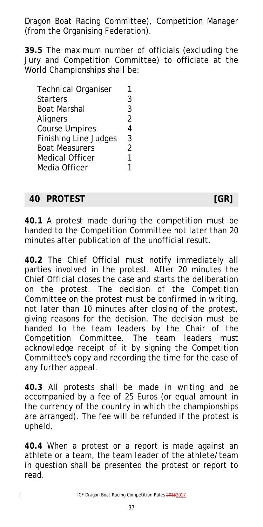Dragon Boat Racing Committee), Competition Manager (from the Organising Federation).

**39.5** The maximum number of officials (excluding the Jury and Competition Committee) to officiate at the World Championships shall be:

| <b>Technical Organiser</b>   |                |
|------------------------------|----------------|
| <b>Starters</b>              | 3              |
| <b>Boat Marshal</b>          | 3              |
| Aligners                     | $\overline{2}$ |
| <b>Course Umpires</b>        | 4              |
| <b>Finishing Line Judges</b> | 3              |
| <b>Boat Measurers</b>        | 2              |
| <b>Medical Officer</b>       | 1              |
| Media Officer                |                |
|                              |                |

#### <span id="page-36-0"></span>**40 PROTEST [GR]**

**40.1** A protest made during the competition must be handed to the Competition Committee not later than 20 minutes after publication of the unofficial result.

**40.2** The Chief Official must notify immediately all parties involved in the protest. After 20 minutes the Chief Official closes the case and starts the deliberation on the protest. The decision of the Competition Committee on the protest must be confirmed in writing, not later than 10 minutes after closing of the protest, giving reasons for the decision. The decision must be handed to the team leaders by the Chair of the Competition Committee. The team leaders must acknowledge receipt of it by signing the Competition Committee's copy and recording the time for the case of any further appeal.

**40.3** All protests shall be made in writing and be accompanied by a fee of 25 Euros (or equal amount in the currency of the country in which the championships are arranged). The fee will be refunded if the protest is upheld.

**40.4** When a protest or a report is made against an athlete or a team, the team leader of the athlete/team in question shall be presented the protest or report to read.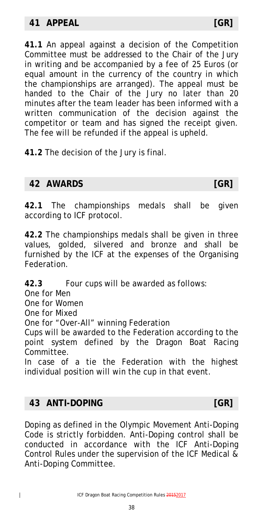<span id="page-37-0"></span>**41.1** An appeal against a decision of the Competition Committee must be addressed to the Chair of the Jury in writing and be accompanied by a fee of 25 Euros (or equal amount in the currency of the country in which the championships are arranged). The appeal must be handed to the Chair of the Jury no later than 20 minutes after the team leader has been informed with a written communication of the decision against the competitor or team and has signed the receipt given. The fee will be refunded if the appeal is upheld.

**41.2** The decision of the Jury is final.

#### <span id="page-37-1"></span>**42 AWARDS [GR]**

**42.1** The championships medals shall be given according to ICF protocol.

**42.2** The championships medals shall be given in three values, golded, silvered and bronze and shall be furnished by the ICF at the expenses of the Organising Federation.

**42.3** Four cups will be awarded as follows:

One for Men

One for Women

One for Mixed

One for "Over-All" winning Federation

Cups will be awarded to the Federation according to the point system defined by the Dragon Boat Racing Committee.

In case of a tie the Federation with the highest individual position will win the cup in that event.

### <span id="page-37-2"></span>**43 ANTI-DOPING [GR]**

 $\overline{\phantom{a}}$ 

Doping as defined in the Olympic Movement Anti-Doping Code is strictly forbidden. Anti-Doping control shall be conducted in accordance with the ICF Anti-Doping Control Rules under the supervision of the ICF Medical & Anti-Doping Committee.